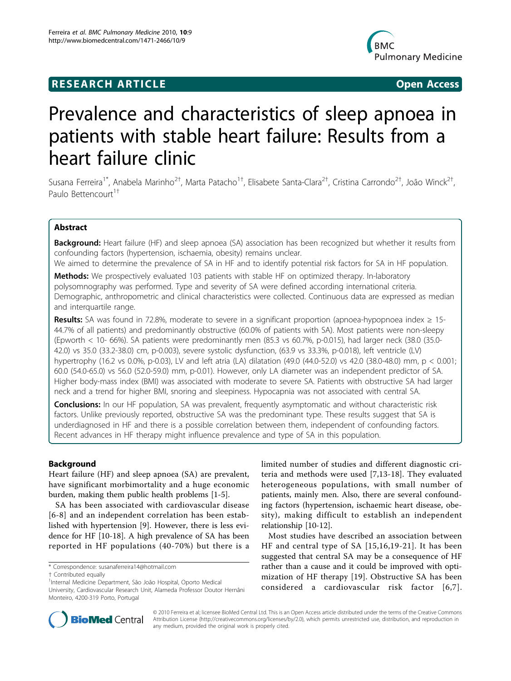## **RESEARCH ARTICLE Example 2018 CONSIDERING ACCESS**



# Prevalence and characteristics of sleep apnoea in patients with stable heart failure: Results from a heart failure clinic

Susana Ferreira<sup>1\*</sup>, Anabela Marinho<sup>2†</sup>, Marta Patacho<sup>1†</sup>, Elisabete Santa-Clara<sup>2†</sup>, Cristina Carrondo<sup>2†</sup>, João Winck<sup>2†</sup> , Paulo Bettencourt<sup>1†</sup>

## Abstract

**Background:** Heart failure (HF) and sleep apnoea (SA) association has been recognized but whether it results from confounding factors (hypertension, ischaemia, obesity) remains unclear.

We aimed to determine the prevalence of SA in HF and to identify potential risk factors for SA in HF population.

Methods: We prospectively evaluated 103 patients with stable HF on optimized therapy. In-laboratory polysomnography was performed. Type and severity of SA were defined according international criteria. Demographic, anthropometric and clinical characteristics were collected. Continuous data are expressed as median and interquartile range.

**Results:** SA was found in 72.8%, moderate to severe in a significant proportion (apnoea-hypopnoea index  $\geq 15$ -44.7% of all patients) and predominantly obstructive (60.0% of patients with SA). Most patients were non-sleepy (Epworth < 10- 66%). SA patients were predominantly men (85.3 vs 60.7%, p-0.015), had larger neck (38.0 (35.0- 42.0) vs 35.0 (33.2-38.0) cm, p-0.003), severe systolic dysfunction, (63.9 vs 33.3%, p-0.018), left ventricle (LV) hypertrophy (16.2 vs 0.0%, p-0.03), LV and left atria (LA) dilatation (49.0 (44.0-52.0) vs 42.0 (38.0-48.0) mm, p < 0.001; 60.0 (54.0-65.0) vs 56.0 (52.0-59.0) mm, p-0.01). However, only LA diameter was an independent predictor of SA. Higher body-mass index (BMI) was associated with moderate to severe SA. Patients with obstructive SA had larger neck and a trend for higher BMI, snoring and sleepiness. Hypocapnia was not associated with central SA.

**Conclusions:** In our HF population, SA was prevalent, frequently asymptomatic and without characteristic risk factors. Unlike previously reported, obstructive SA was the predominant type. These results suggest that SA is underdiagnosed in HF and there is a possible correlation between them, independent of confounding factors. Recent advances in HF therapy might influence prevalence and type of SA in this population.

## Background

Heart failure (HF) and sleep apnoea (SA) are prevalent, have significant morbimortality and a huge economic burden, making them public health problems [\[1](#page-6-0)-[5\]](#page-6-0).

SA has been associated with cardiovascular disease [[6](#page-6-0)-[8](#page-7-0)] and an independent correlation has been established with hypertension [\[9](#page-7-0)]. However, there is less evidence for HF [[10-18](#page-7-0)]. A high prevalence of SA has been reported in HF populations (40-70%) but there is a

<sup>1</sup>Internal Medicine Department, São João Hospital, Oporto Medical University, Cardiovascular Research Unit, Alameda Professor Doutor Hernâni limited number of studies and different diagnostic criteria and methods were used [\[7,13](#page-7-0)-[18\]](#page-7-0). They evaluated heterogeneous populations, with small number of patients, mainly men. Also, there are several confounding factors (hypertension, ischaemic heart disease, obesity), making difficult to establish an independent relationship [\[10-12](#page-7-0)].

Most studies have described an association between HF and central type of SA [[15,16,19-21\]](#page-7-0). It has been suggested that central SA may be a consequence of HF rather than a cause and it could be improved with optimization of HF therapy [[19\]](#page-7-0). Obstructive SA has been considered a cardiovascular risk factor [[6,](#page-6-0)[7\]](#page-7-0).



Monteiro, 4200-319 Porto, Portugal

© 2010 Ferreira et al; licensee BioMed Central Ltd. This is an Open Access article distributed under the terms of the Creative Commons Attribution License [\(http://creativecommons.org/licenses/by/2.0](http://creativecommons.org/licenses/by/2.0)), which permits unrestricted use, distribution, and reproduction in any medium, provided the original work is properly cited.

<sup>\*</sup> Correspondence: [susanaferreira14@hotmail.com](mailto:susanaferreira14@hotmail.com)

<sup>†</sup> Contributed equally <sup>1</sup>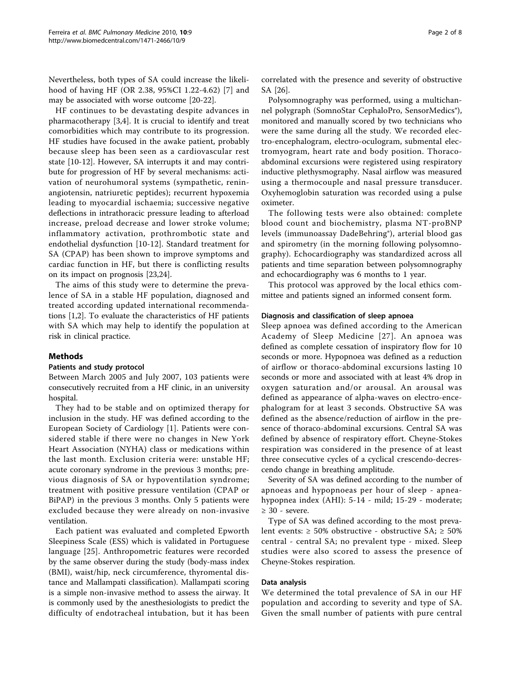Nevertheless, both types of SA could increase the likelihood of having HF (OR 2.38, 95%CI 1.22-4.62) [[7\]](#page-7-0) and may be associated with worse outcome [[20](#page-7-0)-[22\]](#page-7-0).

HF continues to be devastating despite advances in pharmacotherapy [\[3,4](#page-6-0)]. It is crucial to identify and treat comorbidities which may contribute to its progression. HF studies have focused in the awake patient, probably because sleep has been seen as a cardiovascular rest state [\[10-12](#page-7-0)]. However, SA interrupts it and may contribute for progression of HF by several mechanisms: activation of neurohumoral systems (sympathetic, reninangiotensin, natriuretic peptides); recurrent hypoxemia leading to myocardial ischaemia; successive negative deflections in intrathoracic pressure leading to afterload increase, preload decrease and lower stroke volume; inflammatory activation, prothrombotic state and endothelial dysfunction [\[10-12](#page-7-0)]. Standard treatment for SA (CPAP) has been shown to improve symptoms and cardiac function in HF, but there is conflicting results on its impact on prognosis [\[23,24](#page-7-0)].

The aims of this study were to determine the prevalence of SA in a stable HF population, diagnosed and treated according updated international recommendations [\[1,2\]](#page-6-0). To evaluate the characteristics of HF patients with SA which may help to identify the population at risk in clinical practice.

## Methods

#### Patients and study protocol

Between March 2005 and July 2007, 103 patients were consecutively recruited from a HF clinic, in an university hospital.

They had to be stable and on optimized therapy for inclusion in the study. HF was defined according to the European Society of Cardiology [[1\]](#page-6-0). Patients were considered stable if there were no changes in New York Heart Association (NYHA) class or medications within the last month. Exclusion criteria were: unstable HF; acute coronary syndrome in the previous 3 months; previous diagnosis of SA or hypoventilation syndrome; treatment with positive pressure ventilation (CPAP or BiPAP) in the previous 3 months. Only 5 patients were excluded because they were already on non-invasive ventilation.

Each patient was evaluated and completed Epworth Sleepiness Scale (ESS) which is validated in Portuguese language [[25](#page-7-0)]. Anthropometric features were recorded by the same observer during the study (body-mass index (BMI), waist/hip, neck circumference, thyromental distance and Mallampati classification). Mallampati scoring is a simple non-invasive method to assess the airway. It is commonly used by the anesthesiologists to predict the difficulty of endotracheal intubation, but it has been correlated with the presence and severity of obstructive SA [\[26\]](#page-7-0).

Polysomnography was performed, using a multichannel polygraph (SomnoStar CephaloPro, SensorMedics®), monitored and manually scored by two technicians who were the same during all the study. We recorded electro-encephalogram, electro-oculogram, submental electromyogram, heart rate and body position. Thoracoabdominal excursions were registered using respiratory inductive plethysmography. Nasal airflow was measured using a thermocouple and nasal pressure transducer. Oxyhemoglobin saturation was recorded using a pulse oximeter.

The following tests were also obtained: complete blood count and biochemistry, plasma NT-proBNP levels (immunoassay DadeBehring®), arterial blood gas and spirometry (in the morning following polysomnography). Echocardiography was standardized across all patients and time separation between polysomnography and echocardiography was 6 months to 1 year.

This protocol was approved by the local ethics committee and patients signed an informed consent form.

#### Diagnosis and classification of sleep apnoea

Sleep apnoea was defined according to the American Academy of Sleep Medicine [[27\]](#page-7-0). An apnoea was defined as complete cessation of inspiratory flow for 10 seconds or more. Hypopnoea was defined as a reduction of airflow or thoraco-abdominal excursions lasting 10 seconds or more and associated with at least 4% drop in oxygen saturation and/or arousal. An arousal was defined as appearance of alpha-waves on electro-encephalogram for at least 3 seconds. Obstructive SA was defined as the absence/reduction of airflow in the presence of thoraco-abdominal excursions. Central SA was defined by absence of respiratory effort. Cheyne-Stokes respiration was considered in the presence of at least three consecutive cycles of a cyclical crescendo-decrescendo change in breathing amplitude.

Severity of SA was defined according to the number of apnoeas and hypopnoeas per hour of sleep - apneahypopnea index (AHI): 5-14 - mild; 15-29 - moderate; ≥ 30 - severe.

Type of SA was defined according to the most prevalent events: ≥ 50% obstructive - obstructive SA; ≥ 50% central - central SA; no prevalent type - mixed. Sleep studies were also scored to assess the presence of Cheyne-Stokes respiration.

#### Data analysis

We determined the total prevalence of SA in our HF population and according to severity and type of SA. Given the small number of patients with pure central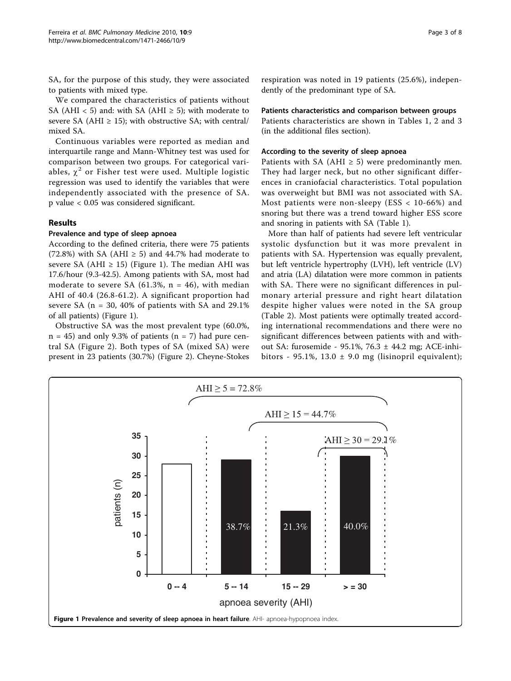SA, for the purpose of this study, they were associated to patients with mixed type.

We compared the characteristics of patients without SA (AHI < 5) and: with SA (AHI  $\ge$  5); with moderate to severe SA (AHI  $\geq$  15); with obstructive SA; with central/ mixed SA.

Continuous variables were reported as median and interquartile range and Mann-Whitney test was used for comparison between two groups. For categorical variables,  $\chi^2$  or Fisher test were used. Multiple logistic regression was used to identify the variables that were independently associated with the presence of SA. p value < 0.05 was considered significant.

## Results

#### Prevalence and type of sleep apnoea

According to the defined criteria, there were 75 patients (72.8%) with SA (AHI  $\geq$  5) and 44.7% had moderate to severe SA (AHI  $\geq$  15) (Figure 1). The median AHI was 17.6/hour (9.3-42.5). Among patients with SA, most had moderate to severe SA  $(61.3\% , n = 46)$ , with median AHI of 40.4 (26.8-61.2). A significant proportion had severe SA ( $n = 30$ , 40% of patients with SA and 29.1%) of all patients) (Figure 1).

Obstructive SA was the most prevalent type (60.0%,  $n = 45$ ) and only 9.3% of patients ( $n = 7$ ) had pure central SA (Figure [2\)](#page-3-0). Both types of SA (mixed SA) were present in 23 patients (30.7%) (Figure [2](#page-3-0)). Cheyne-Stokes respiration was noted in 19 patients (25.6%), independently of the predominant type of SA.

#### Patients characteristics and comparison between groups

Patients characteristics are shown in Tables [1, 2](#page-3-0) and [3](#page-4-0) (in the additional files section).

#### According to the severity of sleep apnoea

Patients with SA (AHI  $\geq$  5) were predominantly men. They had larger neck, but no other significant differences in craniofacial characteristics. Total population was overweight but BMI was not associated with SA. Most patients were non-sleepy (ESS < 10-66%) and snoring but there was a trend toward higher ESS score and snoring in patients with SA (Table [1](#page-3-0)).

More than half of patients had severe left ventricular systolic dysfunction but it was more prevalent in patients with SA. Hypertension was equally prevalent, but left ventricle hypertrophy (LVH), left ventricle (LV) and atria (LA) dilatation were more common in patients with SA. There were no significant differences in pulmonary arterial pressure and right heart dilatation despite higher values were noted in the SA group (Table [2\)](#page-3-0). Most patients were optimally treated according international recommendations and there were no significant differences between patients with and without SA: furosemide - 95.1%, 76.3 ± 44.2 mg; ACE-inhibitors - 95.1%, 13.0  $\pm$  9.0 mg (lisinopril equivalent);

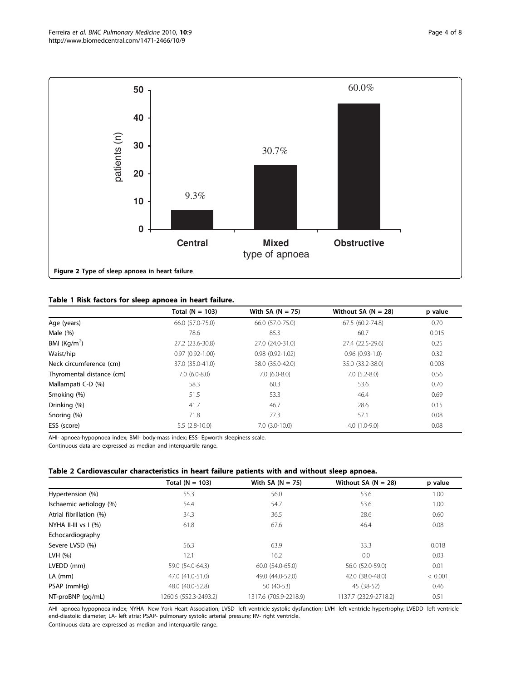<span id="page-3-0"></span>

## Table 1 Risk factors for sleep apnoea in heart failure.

|                           | Total ( $N = 103$ ) | With SA $(N = 75)$  | Without SA $(N = 28)$ | p value |
|---------------------------|---------------------|---------------------|-----------------------|---------|
| Age (years)               | 66.0 (57.0-75.0)    | 66.0 (57.0-75.0)    | 67.5 (60.2-74.8)      | 0.70    |
| Male $(\%)$               | 78.6                | 85.3                | 60.7                  | 0.015   |
| BMI (Kg/m <sup>2</sup> )  | 27.2 (23.6-30.8)    | 27.0 (24.0-31.0)    | 27.4 (22.5-29.6)      | 0.25    |
| Waist/hip                 | $0.97(0.92 - 1.00)$ | $0.98(0.92 - 1.02)$ | $0.96(0.93-1.0)$      | 0.32    |
| Neck circumference (cm)   | 37.0 (35.0-41.0)    | 38.0 (35.0-42.0)    | 35.0 (33.2-38.0)      | 0.003   |
| Thyromental distance (cm) | $7.0(6.0-8.0)$      | $7.0(6.0-8.0)$      | $7.0(5.2-8.0)$        | 0.56    |
| Mallampati C-D (%)        | 58.3                | 60.3                | 53.6                  | 0.70    |
| Smoking (%)               | 51.5                | 53.3                | 46.4                  | 0.69    |
| Drinking (%)              | 41.7                | 46.7                | 28.6                  | 0.15    |
| Snoring (%)               | 71.8                | 77.3                | 57.1                  | 0.08    |
| ESS (score)               | $5.5(2.8-10.0)$     | $7.0(3.0-10.0)$     | $4.0(1.0-9.0)$        | 0.08    |

AHI- apnoea-hypopnoea index; BMI- body-mass index; ESS- Epworth sleepiness scale.

Continuous data are expressed as median and interquartile range.

#### Table 2 Cardiovascular characteristics in heart failure patients with and without sleep apnoea.

|                         | Total ( $N = 103$ )   | With SA $(N = 75)$    | Without SA $(N = 28)$ | p value |
|-------------------------|-----------------------|-----------------------|-----------------------|---------|
| Hypertension (%)        | 55.3                  | 56.0                  | 53.6                  | 1.00    |
| Ischaemic aetiology (%) | 54.4                  | 54.7                  | 53.6                  | 1.00    |
| Atrial fibrillation (%) | 34.3                  | 36.5                  | 28.6                  | 0.60    |
| NYHA II-III vs $(%)$    | 61.8                  | 67.6                  | 46.4                  | 0.08    |
| Echocardiography        |                       |                       |                       |         |
| Severe LVSD (%)         | 56.3                  | 63.9                  | 33.3                  | 0.018   |
| LVH (%)                 | 12.1                  | 16.2                  | 0.0                   | 0.03    |
| LVEDD (mm)              | 59.0 (54.0-64.3)      | 60.0 (54.0-65.0)      | 56.0 (52.0-59.0)      | 0.01    |
| $LA$ (mm)               | 47.0 (41.0-51.0)      | 49.0 (44.0-52.0)      | 42.0 (38.0-48.0)      | < 0.001 |
| PSAP (mmHg)             | 48.0 (40.0-52.8)      | 50 (40-53)            | 45 (38-52)            | 0.46    |
| NT-proBNP (pg/mL)       | 1260.6 (552.3-2493.2) | 1317.6 (705.9-2218.9) | 1137.7 (232.9-2718.2) | 0.51    |

AHI- apnoea-hypopnoea index; NYHA- New York Heart Association; LVSD- left ventricle systolic dysfunction; LVH- left ventricle hypertrophy; LVEDD- left ventricle end-diastolic diameter; LA- left atria; PSAP- pulmonary systolic arterial pressure; RV- right ventricle.

Continuous data are expressed as median and interquartile range.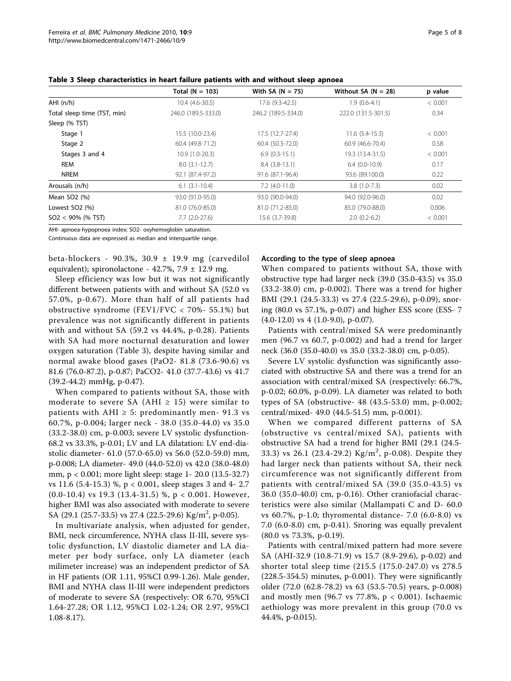|                             | Total $(N = 103)$   | With SA $(N = 75)$  | Without SA $(N = 28)$ | p value |
|-----------------------------|---------------------|---------------------|-----------------------|---------|
| AHI(n/h)                    | 10.4 (4.6-30.5)     | 17.6 (9.3-42.5)     | $1.9(0.6-4.1)$        | < 0.001 |
| Total sleep time (TST, min) | 246.0 (189.5-333.0) | 246.2 (189.5-334.0) | 222.0 (131.5-301.5)   | 0.34    |
| Sleep (% TST)               |                     |                     |                       |         |
| Stage 1                     | 15.5 (10.0-23.4)    | 17.5 (12.7-27.4)    | $11.6(5.4-15.3)$      | < 0.001 |
| Stage 2                     | 60.4 (49.8-71.2)    | 60.4 (50.3-72.0)    | 60.9 (46.6-70.4)      | 0.58    |
| Stages 3 and 4              | 10.9 (1.0-20.3)     | $6.9(0.3-15.1)$     | 19.3 (13.4-31.5)      | < 0.001 |
| <b>REM</b>                  | $8.0(3.1-12.7)$     | $8.4(3.8-13.1)$     | $6.4(0.0-10.9)$       | 0.17    |
| <b>NREM</b>                 | 92.1 (87.4-97.2)    | 91.6 (87.1-96.4)    | 93.6 (89.100.0)       | 0.22    |
| Arousals (n/h)              | $6.1(3.1-10.4)$     | $7.2$ (4.0-11.0)    | $3.8(1.0-7.3)$        | 0.02    |
| Mean SO <sub>2</sub> (%)    | 93.0 (91.0-95.0)    | 93.0 (90.0-94.0)    | 94.0 (92.0-96.0)      | 0.02    |
| Lowest SO2 (%)              | 81.0 (76.0-85.0)    | 81.0 (71.2-85.0)    | 85.0 (79.0-88.0)      | 0.006   |
| $SO2 < 90\%$ (% TST)        | $7.7(2.0-27.6)$     | 15.6 (3.7-39.8)     | $2.0(0.2-6.2)$        | < 0.001 |

<span id="page-4-0"></span>Table 3 Sleep characteristics in heart failure patients with and without sleep apnoea

AHI- apnoea-hypopnoea index; SO2- oxyhemoglobin saturation.

Continuous data are expressed as median and interquartile range.

beta-blockers - 90.3%, 30.9  $\pm$  19.9 mg (carvedilol equivalent); spironolactone - 42.7%, 7.9  $\pm$  12.9 mg.

Sleep efficiency was low but it was not significantly different between patients with and without SA (52.0 vs 57.0%, p-0.67). More than half of all patients had obstructive syndrome (FEV1/FVC < 70%- 55.1%) but prevalence was not significantly different in patients with and without SA (59.2 vs 44.4%, p-0.28). Patients with SA had more nocturnal desaturation and lower oxygen saturation (Table 3), despite having similar and normal awake blood gases (PaO2- 81.8 (73.6-90.6) vs 81.6 (76.0-87.2), p-0.87; PaCO2- 41.0 (37.7-43.6) vs 41.7 (39.2-44.2) mmHg, p-0.47).

When compared to patients without SA, those with moderate to severe SA (AHI  $\geq$  15) were similar to patients with AHI  $\geq$  5: predominantly men- 91.3 vs 60.7%, p-0.004; larger neck - 38.0 (35.0-44.0) vs 35.0 (33.2-38.0) cm, p-0.003; severe LV systolic dysfunction-68.2 vs 33.3%, p-0.01; LV and LA dilatation: LV end-diastolic diameter- 61.0 (57.0-65.0) vs 56.0 (52.0-59.0) mm, p-0.008; LA diameter- 49.0 (44.0-52.0) vs 42.0 (38.0-48.0) mm, p < 0.001; more light sleep: stage 1- 20.0 (13.5-32.7) vs 11.6 (5.4-15.3) %, p < 0.001, sleep stages 3 and 4- 2.7  $(0.0-10.4)$  vs 19.3  $(13.4-31.5)$  %, p < 0.001. However, higher BMI was also associated with moderate to severe SA (29.1 (25.7-33.5) vs 27.4 (22.5-29.6) Kg/m<sup>2</sup>, p-0.05).

In multivariate analysis, when adjusted for gender, BMI, neck circumference, NYHA class II-III, severe systolic dysfunction, LV diastolic diameter and LA diameter per body surface, only LA diameter (each milimeter increase) was an independent predictor of SA in HF patients (OR 1.11, 95%CI 0.99-1.26). Male gender, BMI and NYHA class II-III were independent predictors of moderate to severe SA (respectively: OR 6.70, 95%CI 1.64-27.28; OR 1.12, 95%CI 1.02-1.24; OR 2.97, 95%CI 1.08-8.17).

## According to the type of sleep apnoea

When compared to patients without SA, those with obstructive type had larger neck (39.0 (35.0-43.5) vs 35.0 (33.2-38.0) cm, p-0.002). There was a trend for higher BMI (29.1 (24.5-33.3) vs 27.4 (22.5-29.6), p-0.09), snoring (80.0 vs 57.1%, p-0.07) and higher ESS score (ESS- 7  $(4.0-12.0)$  vs  $4$   $(1.0-9.0)$ , p-0.07).

Patients with central/mixed SA were predominantly men (96.7 vs 60.7, p-0.002) and had a trend for larger neck (36.0 (35.0-40.0) vs 35.0 (33.2-38.0) cm, p-0.05).

Severe LV systolic dysfunction was significantly associated with obstructive SA and there was a trend for an association with central/mixed SA (respectively: 66.7%, p-0.02; 60.0%, p-0.09). LA diameter was related to both types of SA (obstructive- 48 (43.5-53.0) mm, p-0.002; central/mixed- 49.0 (44.5-51.5) mm, p-0.001).

When we compared different patterns of SA (obstructive vs central/mixed SA), patients with obstructive SA had a trend for higher BMI (29.1 (24.5- 33.3) vs 26.1 (23.4-29.2)  $\text{Kg/m}^2$ , p-0.08). Despite they had larger neck than patients without SA, their neck circumference was not significantly different from patients with central/mixed SA (39.0 (35.0-43.5) vs 36.0 (35.0-40.0) cm, p-0.16). Other craniofacial characteristics were also similar (Mallampati C and D- 60.0 vs 60.7%, p-1.0; thyromental distance- 7.0 (6.0-8.0) vs 7.0 (6.0-8.0) cm, p-0.41). Snoring was equally prevalent (80.0 vs 73.3%, p-0.19).

Patients with central/mixed pattern had more severe SA (AHI-32.9 (10.8-71.9) vs 15.7 (8.9-29.6), p-0.02) and shorter total sleep time (215.5 (175.0-247.0) vs 278.5 (228.5-354.5) minutes, p-0.001). They were significantly older (72.0 (62.8-78.2) vs 63 (53.5-70.5) years, p-0.008) and mostly men (96.7 vs 77.8%,  $p < 0.001$ ). Ischaemic aethiology was more prevalent in this group (70.0 vs 44.4%, p-0.015).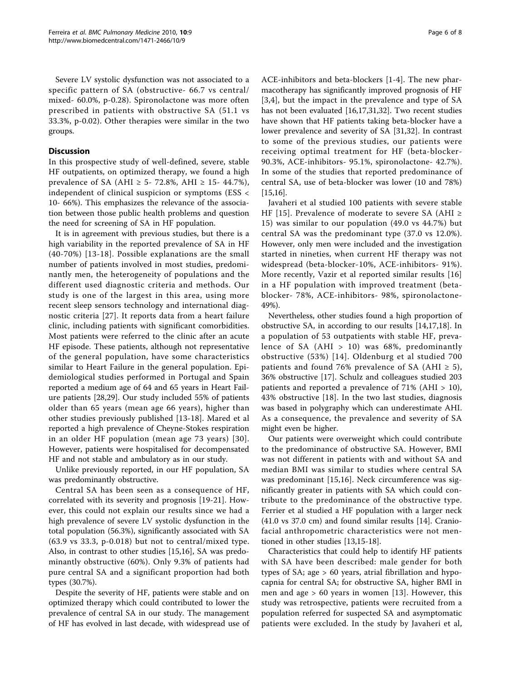Severe LV systolic dysfunction was not associated to a specific pattern of SA (obstructive- 66.7 vs central/ mixed- 60.0%, p-0.28). Spironolactone was more often prescribed in patients with obstructive SA (51.1 vs 33.3%, p-0.02). Other therapies were similar in the two groups.

## Discussion

In this prospective study of well-defined, severe, stable HF outpatients, on optimized therapy, we found a high prevalence of SA (AHI ≥ 5- 72.8%, AHI ≥ 15- 44.7%), independent of clinical suspicion or symptoms (ESS < 10- 66%). This emphasizes the relevance of the association between those public health problems and question the need for screening of SA in HF population.

It is in agreement with previous studies, but there is a high variability in the reported prevalence of SA in HF (40-70%) [\[13-18](#page-7-0)]. Possible explanations are the small number of patients involved in most studies, predominantly men, the heterogeneity of populations and the different used diagnostic criteria and methods. Our study is one of the largest in this area, using more recent sleep sensors technology and international diagnostic criteria [\[27\]](#page-7-0). It reports data from a heart failure clinic, including patients with significant comorbidities. Most patients were referred to the clinic after an acute HF episode. These patients, although not representative of the general population, have some characteristics similar to Heart Failure in the general population. Epidemiological studies performed in Portugal and Spain reported a medium age of 64 and 65 years in Heart Failure patients [\[28,29](#page-7-0)]. Our study included 55% of patients older than 65 years (mean age 66 years), higher than other studies previously published [[13-18](#page-7-0)]. Mared et al reported a high prevalence of Cheyne-Stokes respiration in an older HF population (mean age 73 years) [[30\]](#page-7-0). However, patients were hospitalised for decompensated HF and not stable and ambulatory as in our study.

Unlike previously reported, in our HF population, SA was predominantly obstructive.

Central SA has been seen as a consequence of HF, correlated with its severity and prognosis [\[19](#page-7-0)-[21\]](#page-7-0). However, this could not explain our results since we had a high prevalence of severe LV systolic dysfunction in the total population (56.3%), significantly associated with SA (63.9 vs 33.3, p-0.018) but not to central/mixed type. Also, in contrast to other studies [\[15,16](#page-7-0)], SA was predominantly obstructive (60%). Only 9.3% of patients had pure central SA and a significant proportion had both types (30.7%).

Despite the severity of HF, patients were stable and on optimized therapy which could contributed to lower the prevalence of central SA in our study. The management of HF has evolved in last decade, with widespread use of ACE-inhibitors and beta-blockers [[1](#page-6-0)-[4\]](#page-6-0). The new pharmacotherapy has significantly improved prognosis of HF [[3,4\]](#page-6-0), but the impact in the prevalence and type of SA has not been evaluated [[16,17](#page-7-0),[31](#page-7-0),[32](#page-7-0)]. Two recent studies have shown that HF patients taking beta-blocker have a lower prevalence and severity of SA [[31,32\]](#page-7-0). In contrast to some of the previous studies, our patients were receiving optimal treatment for HF (beta-blocker-90.3%, ACE-inhibitors- 95.1%, spironolactone- 42.7%). In some of the studies that reported predominance of central SA, use of beta-blocker was lower (10 and 78%) [[15,16\]](#page-7-0).

Javaheri et al studied 100 patients with severe stable HF [[15](#page-7-0)]. Prevalence of moderate to severe SA (AHI  $\geq$ 15) was similar to our population (49.0 vs 44.7%) but central SA was the predominant type (37.0 vs 12.0%). However, only men were included and the investigation started in nineties, when current HF therapy was not widespread (beta-blocker-10%, ACE-inhibitors- 91%). More recently, Vazir et al reported similar results [[16](#page-7-0)] in a HF population with improved treatment (betablocker- 78%, ACE-inhibitors- 98%, spironolactone-49%).

Nevertheless, other studies found a high proportion of obstructive SA, in according to our results [\[14,17,18](#page-7-0)]. In a population of 53 outpatients with stable HF, prevalence of SA  $(AHI > 10)$  was 68%, predominantly obstructive (53%) [[14](#page-7-0)]. Oldenburg et al studied 700 patients and found 76% prevalence of SA (AHI  $\geq$  5), 36% obstructive [\[17](#page-7-0)]. Schulz and colleagues studied 203 patients and reported a prevalence of  $71\%$  (AHI  $> 10$ ), 43% obstructive [[18](#page-7-0)]. In the two last studies, diagnosis was based in polygraphy which can underestimate AHI. As a consequence, the prevalence and severity of SA might even be higher.

Our patients were overweight which could contribute to the predominance of obstructive SA. However, BMI was not different in patients with and without SA and median BMI was similar to studies where central SA was predominant [[15,16](#page-7-0)]. Neck circumference was significantly greater in patients with SA which could contribute to the predominance of the obstructive type. Ferrier et al studied a HF population with a larger neck (41.0 vs 37.0 cm) and found similar results [[14\]](#page-7-0). Craniofacial anthropometric characteristics were not mentioned in other studies [\[13,15-18](#page-7-0)].

Characteristics that could help to identify HF patients with SA have been described: male gender for both types of SA; age > 60 years, atrial fibrillation and hypocapnia for central SA; for obstructive SA, higher BMI in men and age > 60 years in women [\[13](#page-7-0)]. However, this study was retrospective, patients were recruited from a population referred for suspected SA and asymptomatic patients were excluded. In the study by Javaheri et al,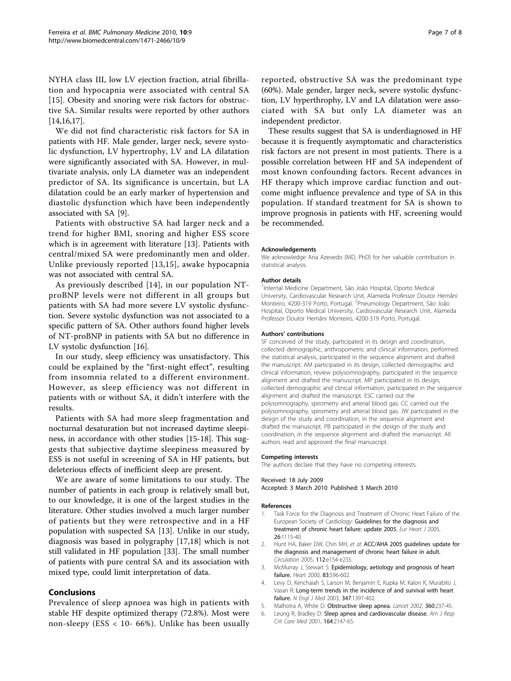<span id="page-6-0"></span>NYHA class III, low LV ejection fraction, atrial fibrillation and hypocapnia were associated with central SA [[15\]](#page-7-0). Obesity and snoring were risk factors for obstructive SA. Similar results were reported by other authors [[14,16,17](#page-7-0)].

We did not find characteristic risk factors for SA in patients with HF. Male gender, larger neck, severe systolic dysfunction, LV hypertrophy, LV and LA dilatation were significantly associated with SA. However, in multivariate analysis, only LA diameter was an independent predictor of SA. Its significance is uncertain, but LA dilatation could be an early marker of hypertension and diastolic dysfunction which have been independently associated with SA [\[9](#page-7-0)].

Patients with obstructive SA had larger neck and a trend for higher BMI, snoring and higher ESS score which is in agreement with literature [[13\]](#page-7-0). Patients with central/mixed SA were predominantly men and older. Unlike previously reported [[13](#page-7-0),[15](#page-7-0)], awake hypocapnia was not associated with central SA.

As previously described [[14\]](#page-7-0), in our population NTproBNP levels were not different in all groups but patients with SA had more severe LV systolic dysfunction. Severe systolic dysfunction was not associated to a specific pattern of SA. Other authors found higher levels of NT-proBNP in patients with SA but no difference in LV systolic dysfunction [[16\]](#page-7-0).

In our study, sleep efficiency was unsatisfactory. This could be explained by the "first-night effect", resulting from insomnia related to a different environment. However, as sleep efficiency was not different in patients with or without SA, it didn't interfere with the results.

Patients with SA had more sleep fragmentation and nocturnal desaturation but not increased daytime sleepiness, in accordance with other studies [\[15-18](#page-7-0)]. This suggests that subjective daytime sleepiness measured by ESS is not useful in screening of SA in HF patients, but deleterious effects of inefficient sleep are present.

We are aware of some limitations to our study. The number of patients in each group is relatively small but, to our knowledge, it is one of the largest studies in the literature. Other studies involved a much larger number of patients but they were retrospective and in a HF population with suspected SA [[13\]](#page-7-0). Unlike in our study, diagnosis was based in polygraphy [[17,18](#page-7-0)] which is not still validated in HF population [\[33](#page-7-0)]. The small number of patients with pure central SA and its association with mixed type, could limit interpretation of data.

#### Conclusions

Prevalence of sleep apnoea was high in patients with stable HF despite optimized therapy (72.8%). Most were non-sleepy (ESS < 10- 66%). Unlike has been usually reported, obstructive SA was the predominant type (60%). Male gender, larger neck, severe systolic dysfunction, LV hyperthrophy, LV and LA dilatation were associated with SA but only LA diameter was an independent predictor.

These results suggest that SA is underdiagnosed in HF because it is frequently asymptomatic and characteristics risk factors are not present in most patients. There is a possible correlation between HF and SA independent of most known confounding factors. Recent advances in HF therapy which improve cardiac function and outcome might influence prevalence and type of SA in this population. If standard treatment for SA is shown to improve prognosis in patients with HF, screening would be recommended.

#### Acknowledgements

We acknowledge Ana Azevedo (MD, PhD) for her valuable contribution in statistical analysis.

#### Author details

<sup>1</sup>Internal Medicine Department, São João Hospital, Oporto Medical University, Cardiovascular Research Unit, Alameda Professor Doutor Hernâni Monteiro, 4200-319 Porto, Portugal. <sup>2</sup>Pneumology Department, São João Hospital, Oporto Medical University, Cardiovascular Research Unit, Alameda Professor Doutor Hernâni Monteiro, 4200-319 Porto, Portugal.

#### Authors' contributions

SF conceived of the study, participated in its design and coordination, collected demographic, anthropometric and clinical information, performed the statistical analysis, participated in the sequence alignment and drafted the manuscript. AM participated in its design, collected demographic and clinical information, review polysomnography, participated in the sequence alignment and drafted the manuscript. MP participated in its design, collected demographic and clinical information, participated in the sequence alignment and drafted the manuscript. ESC carried out the polysomnography, spirometry and arterial blood gas. CC carried out the polysomnography, spirometry and arterial blood gas. JW participated in the design of the study and coordination, in the sequence alignment and drafted the manuscript. PB participated in the design of the study and coordination, in the sequence alignment and drafted the manuscript. All authors read and approved the final manuscript.

#### Competing interests

The authors declare that they have no competing interests.

#### Received: 18 July 2009

Accepted: 3 March 2010 Published: 3 March 2010

#### References

- 1. Task Force for the Diagnosis and Treatment of Chronic Heart Failure of the European Society of Cardiology: [Guidelines for the diagnosis and](http://www.ncbi.nlm.nih.gov/pubmed/15901669?dopt=Abstract) [treatment of chronic heart failure: update 2005.](http://www.ncbi.nlm.nih.gov/pubmed/15901669?dopt=Abstract) Eur Heart J 2005, 26:1115-40.
- 2. Hunt HA, Baker DW, Chin MH, et al: ACC/AHA 2005 quidelines update for [the diagnosis and management of chronic heart failure in adult.](http://www.ncbi.nlm.nih.gov/pubmed/16160202?dopt=Abstract) Circulation 2005, 112:e154-e235.
- McMurray J, Stewart S: [Epidemiology, aetiology and prognosis of heart](http://www.ncbi.nlm.nih.gov/pubmed/10768918?dopt=Abstract) [failure.](http://www.ncbi.nlm.nih.gov/pubmed/10768918?dopt=Abstract) Heart 2000, 83:596-602.
- 4. Levy D, Kenchaiah S, Larson M, Benjamin E, Kupka M, Kalon K, Murabito J, Vasan R: Long-term trends in the incidence of and survival with heart failure. N Engl J Med 2003, 347:1397-402.
- 5. Malhotra A, White D: [Obstructive sleep apnea.](http://www.ncbi.nlm.nih.gov/pubmed/12133673?dopt=Abstract) Lancet 2002, 360:237-45.
- 6. Leung R, Bradley D: [Sleep apnea and cardiovascular disease.](http://www.ncbi.nlm.nih.gov/pubmed/11751180?dopt=Abstract) Am J Resp Crit Care Med 2001, 164:2147-65.